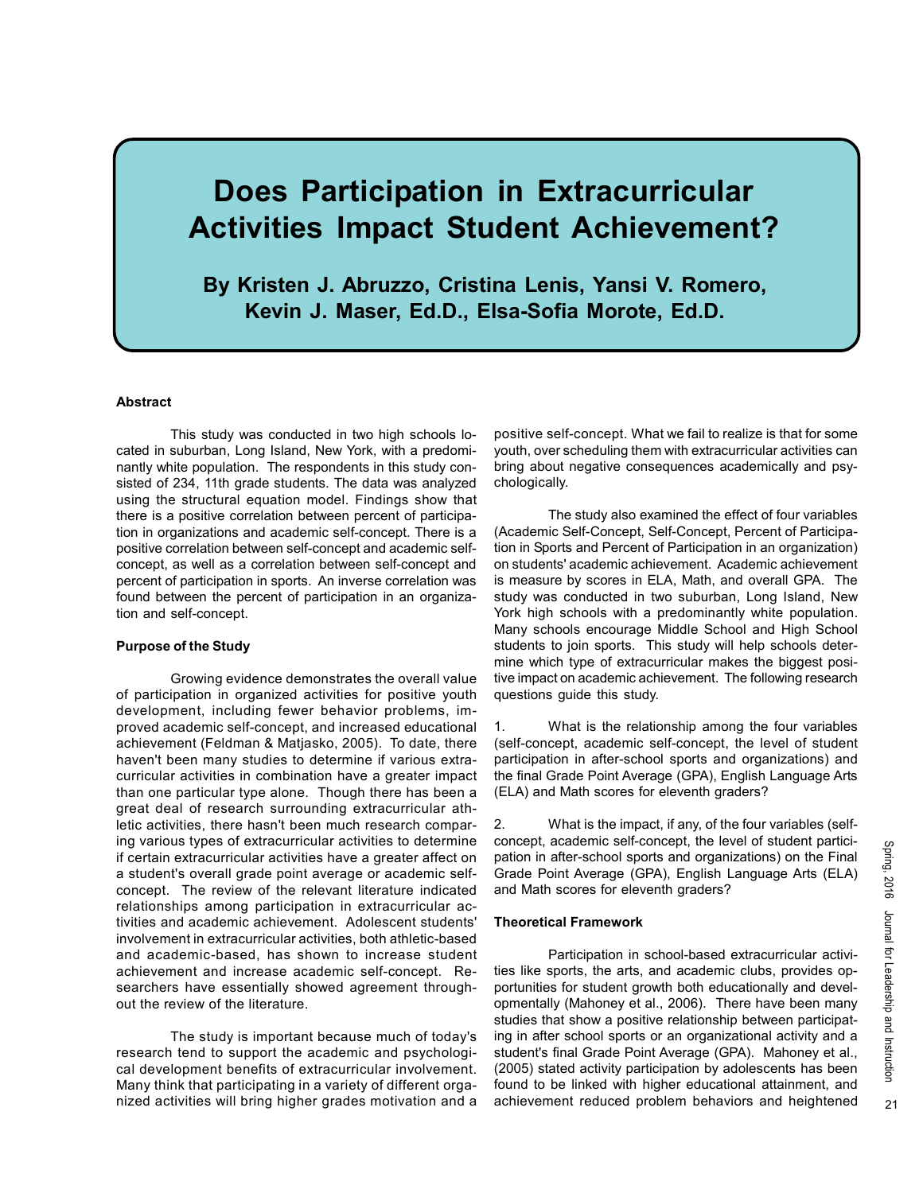# Does Participation in Extracurricular Activities Impact Student Achievement?

By Kristen J. Abruzzo, Cristina Lenis, Yansi V. Romero, Kevin J. Maser, Ed.D., Elsa-Sofia Morote, Ed.D.

## Abstract

This study was conducted in two high schools located in suburban, Long Island, New York, with a predominantly white population. The respondents in this study consisted of 234, 11th grade students. The data was analyzed using the structural equation model. Findings show that there is a positive correlation between percent of participation in organizations and academic self-concept. There is a positive correlation between self-concept and academic selfconcept, as well as a correlation between self-concept and percent of participation in sports. An inverse correlation was found between the percent of participation in an organization and self-concept.

#### Purpose of the Study

Growing evidence demonstrates the overall value of participation in organized activities for positive youth development, including fewer behavior problems, improved academic self-concept, and increased educational achievement (Feldman & Matjasko, 2005). To date, there haven't been many studies to determine if various extracurricular activities in combination have a greater impact than one particular type alone. Though there has been a great deal of research surrounding extracurricular athletic activities, there hasn't been much research comparing various types of extracurricular activities to determine if certain extracurricular activities have a greater affect on a student's overall grade point average or academic selfconcept. The review of the relevant literature indicated relationships among participation in extracurricular activities and academic achievement. Adolescent students' involvement in extracurricular activities, both athletic-based and academic-based, has shown to increase student achievement and increase academic self-concept. Researchers have essentially showed agreement throughout the review of the literature.

The study is important because much of today's research tend to support the academic and psychological development benefits of extracurricular involvement. Many think that participating in a variety of different organized activities will bring higher grades motivation and a positive self-concept. What we fail to realize is that for some youth, over scheduling them with extracurricular activities can bring about negative consequences academically and psychologically.

The study also examined the effect of four variables (Academic Self-Concept, Self-Concept, Percent of Participation in Sports and Percent of Participation in an organization) on students' academic achievement. Academic achievement is measure by scores in ELA, Math, and overall GPA. The study was conducted in two suburban, Long Island, New York high schools with a predominantly white population. Many schools encourage Middle School and High School students to join sports. This study will help schools determine which type of extracurricular makes the biggest positive impact on academic achievement. The following research questions guide this study.

1. What is the relationship among the four variables (self-concept, academic self-concept, the level of student participation in after-school sports and organizations) and the final Grade Point Average (GPA), English Language Arts (ELA) and Math scores for eleventh graders?

2. What is the impact, if any, of the four variables (selfconcept, academic self-concept, the level of student participation in after-school sports and organizations) on the Final Grade Point Average (GPA), English Language Arts (ELA) and Math scores for eleventh graders?

#### Theoretical Framework

Participation in school-based extracurricular activities like sports, the arts, and academic clubs, provides opportunities for student growth both educationally and developmentally (Mahoney et al., 2006). There have been many studies that show a positive relationship between participating in after school sports or an organizational activity and a student's final Grade Point Average (GPA). Mahoney et al., (2005) stated activity participation by adolescents has been found to be linked with higher educational attainment, and achievement reduced problem behaviors and heightened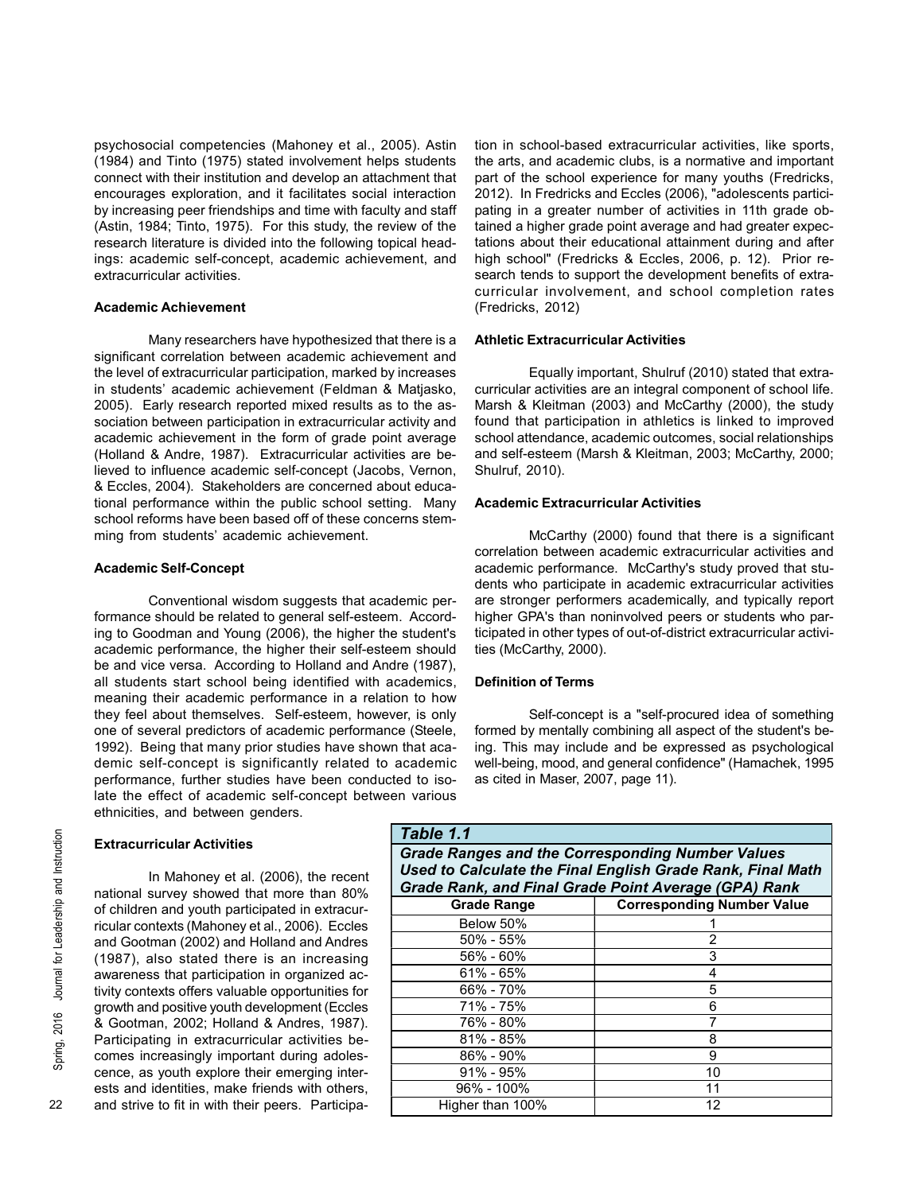psychosocial competencies (Mahoney et al., 2005). Astin (1984) and Tinto (1975) stated involvement helps students connect with their institution and develop an attachment that encourages exploration, and it facilitates social interaction by increasing peer friendships and time with faculty and staff (Astin, 1984; Tinto, 1975). For this study, the review of the research literature is divided into the following topical headings: academic self-concept, academic achievement, and extracurricular activities.

## Academic Achievement

Many researchers have hypothesized that there is a significant correlation between academic achievement and the level of extracurricular participation, marked by increases in students' academic achievement (Feldman & Matjasko, 2005). Early research reported mixed results as to the association between participation in extracurricular activity and academic achievement in the form of grade point average (Holland & Andre, 1987). Extracurricular activities are believed to influence academic self-concept (Jacobs, Vernon, & Eccles, 2004). Stakeholders are concerned about educational performance within the public school setting. Many school reforms have been based off of these concerns stemming from students' academic achievement.

## Academic Self-Concept

Conventional wisdom suggests that academic performance should be related to general self-esteem. According to Goodman and Young (2006), the higher the student's academic performance, the higher their self-esteem should be and vice versa. According to Holland and Andre (1987), all students start school being identified with academics, meaning their academic performance in a relation to how they feel about themselves. Self-esteem, however, is only one of several predictors of academic performance (Steele, 1992). Being that many prior studies have shown that academic self-concept is significantly related to academic performance, further studies have been conducted to isolate the effect of academic self-concept between various ethnicities, and between genders.

# Extracurricular Activities

Extracurricular Activities<br>  $\frac{22}{25}$  In Mahoney et al. (200<br>
national survey showed that more of children and youth participate<br>
ricular contexts (Mahoney et al., 2<br>
and Gootman (2002) and Hollan<br>
(1987), also stated t In Mahoney et al. (2006), the recent national survey showed that more than 80% of children and youth participated in extracurricular contexts (Mahoney et al., 2006). Eccles and Gootman (2002) and Holland and Andres (1987), also stated there is an increasing awareness that participation in organized activity contexts offers valuable opportunities for growth and positive youth development (Eccles & Gootman, 2002; Holland & Andres, 1987). Participating in extracurricular activities becomes increasingly important during adolescence, as youth explore their emerging interests and identities, make friends with others, and strive to fit in with their peers. Participation in school-based extracurricular activities, like sports, the arts, and academic clubs, is a normative and important part of the school experience for many youths (Fredricks, 2012). In Fredricks and Eccles (2006), "adolescents participating in a greater number of activities in 11th grade obtained a higher grade point average and had greater expectations about their educational attainment during and after high school" (Fredricks & Eccles, 2006, p. 12). Prior research tends to support the development benefits of extracurricular involvement, and school completion rates (Fredricks, 2012)

# Athletic Extracurricular Activities

Equally important, Shulruf (2010) stated that extracurricular activities are an integral component of school life. Marsh & Kleitman (2003) and McCarthy (2000), the study found that participation in athletics is linked to improved school attendance, academic outcomes, social relationships and self-esteem (Marsh & Kleitman, 2003; McCarthy, 2000; Shulruf, 2010).

## Academic Extracurricular Activities

McCarthy (2000) found that there is a significant correlation between academic extracurricular activities and academic performance. McCarthy's study proved that students who participate in academic extracurricular activities are stronger performers academically, and typically report higher GPA's than noninvolved peers or students who participated in other types of out-of-district extracurricular activities (McCarthy, 2000).

#### Definition of Terms

Self-concept is a "self-procured idea of something formed by mentally combining all aspect of the student's being. This may include and be expressed as psychological well-being, mood, and general confidence" (Hamachek, 1995 as cited in Maser, 2007, page 11).

| Table 1.1                                                                                                             |                                   |
|-----------------------------------------------------------------------------------------------------------------------|-----------------------------------|
| <b>Grade Ranges and the Corresponding Number Values</b><br>Used to Calculate the Final English Grade Rank, Final Math |                                   |
| Grade Rank, and Final Grade Point Average (GPA) Rank                                                                  |                                   |
| <b>Grade Range</b>                                                                                                    | <b>Corresponding Number Value</b> |
| Below 50%                                                                                                             |                                   |
| 50% - 55%                                                                                                             |                                   |
| $56\% - 60\%$                                                                                                         | 3                                 |
| $61\% - 65\%$                                                                                                         |                                   |
| 66% - 70%                                                                                                             | 5                                 |
| 71% - 75%                                                                                                             | 6                                 |
| 76% - 80%                                                                                                             |                                   |
| $81\% - 85\%$                                                                                                         | 8                                 |
| 86% - 90%                                                                                                             | 9                                 |
| $91\% - 95\%$                                                                                                         | 10                                |
| 96% - 100%                                                                                                            | 11                                |
| Higher than 100%                                                                                                      | 12                                |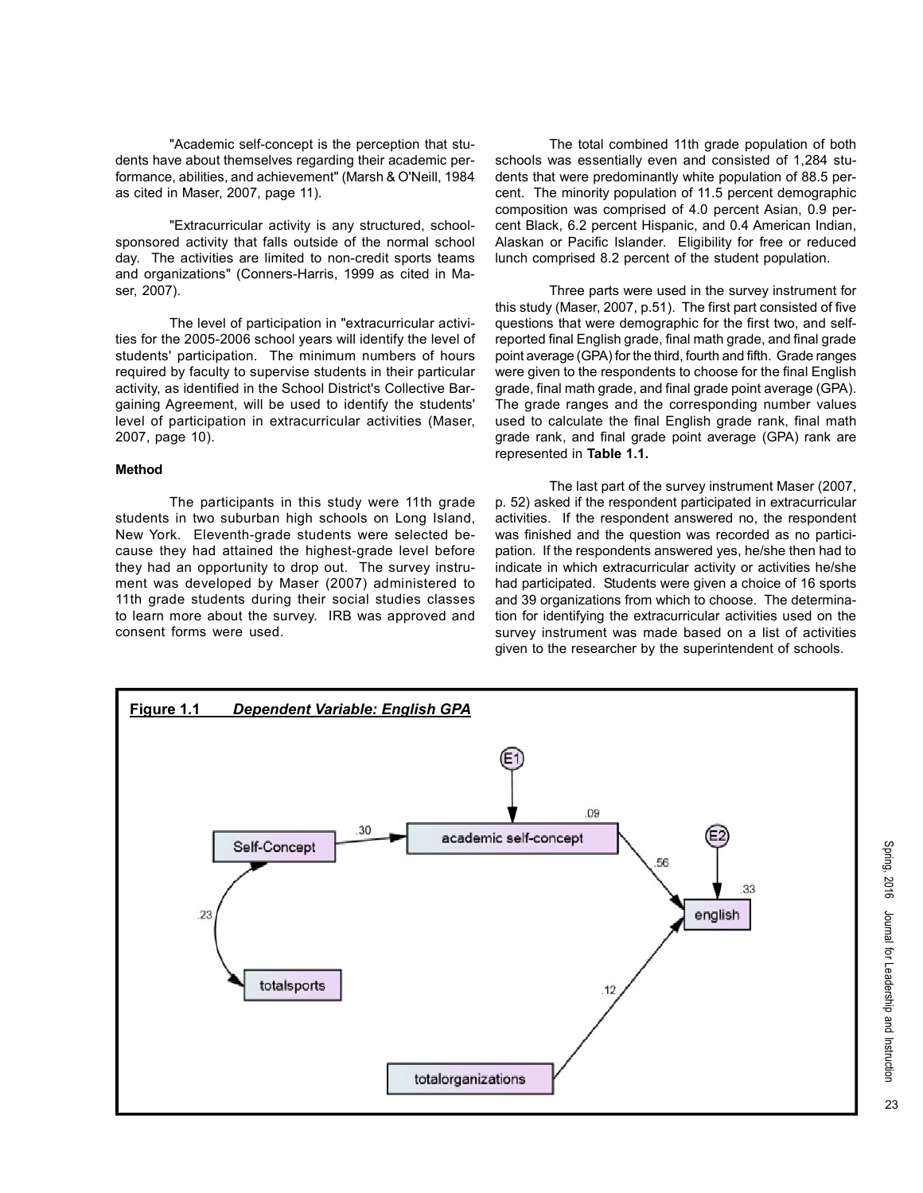"Academic self-concept is the perception that students have about themselves regarding their academic performance, abilities, and achievement" (Marsh & O'Neill, 1984 as cited in Maser, 2007, page 11).

"Extracurricular activity is any structured, schoolsponsored activity that falls outside of the normal school day. The activities are limited to non-credit sports teams and organizations" (Conners-Harris, 1999 as cited in Maser, 2007).

The level of participation in "extracurricular activities for the 2005-2006 school years will identify the level of students' participation. The minimum numbers of hours required by faculty to supervise students in their particular activity, as identified in the School District's Collective Bargaining Agreement, will be used to identify the students' level of participation in extracurricular activities (Maser, 2007, page 10).

## Method

The participants in this study were 11th grade students in two suburban high schools on Long Island, New York. Eleventh-grade students were selected because they had attained the highest-grade level before they had an opportunity to drop out. The survey instrument was developed by Maser (2007) administered to 11th grade students during their social studies classes to learn more about the survey. IRB was approved and consent forms were used.

The total combined 11th grade population of both schools was essentially even and consisted of 1,284 students that were predominantly white population of 88.5 percent. The minority population of 11.5 percent demographic composition was comprised of 4.0 percent Asian, 0.9 percent Black, 6.2 percent Hispanic, and 0.4 American Indian, Alaskan or Pacific Islander. Eligibility for free or reduced lunch comprised 8.2 percent of the student population.

Three parts were used in the survey instrument for this study (Maser, 2007, p.51). The first part consisted of five questions that were demographic for the first two, and selfreported final English grade, final math grade, and final grade point average (GPA) for the third, fourth and fifth. Grade ranges were given to the respondents to choose for the final English grade, final math grade, and final grade point average (GPA). The grade ranges and the corresponding number values used to calculate the final English grade rank, final math grade rank, and final grade point average (GPA) rank are represented in Table 1.1.

The last part of the survey instrument Maser (2007, p. 52) asked if the respondent participated in extracurricular activities. If the respondent answered no, the respondent was finished and the question was recorded as no participation. If the respondents answered yes, he/she then had to indicate in which extracurricular activity or activities he/she had participated. Students were given a choice of 16 sports and 39 organizations from which to choose. The determination for identifying the extracurricular activities used on the survey instrument was made based on a list of activities given to the researcher by the superintendent of schools.

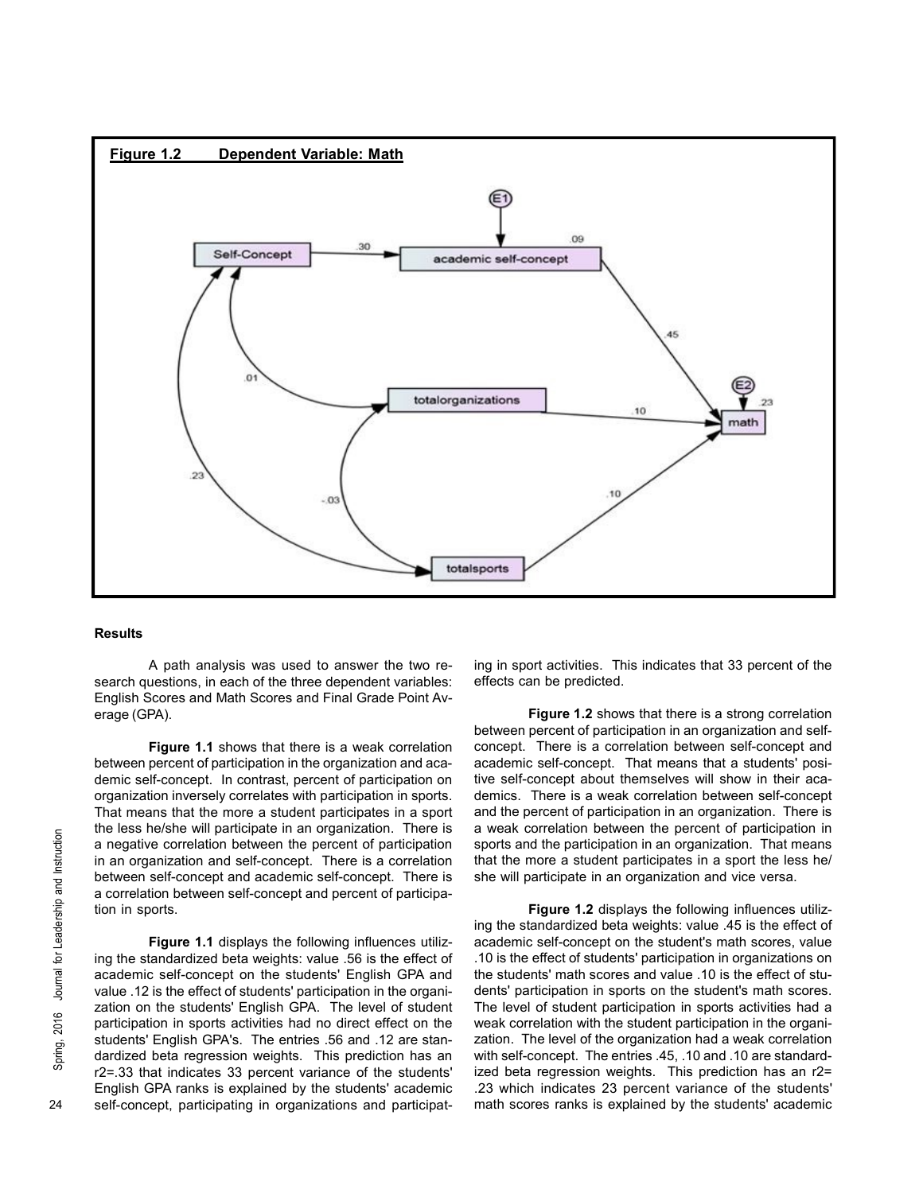

### Results

A path analysis was used to answer the two research questions, in each of the three dependent variables: English Scores and Math Scores and Final Grade Point Average (GPA).

Figure 1.1 shows that there is a weak correlation between percent of participation in the organization and academic self-concept. In contrast, percent of participation on organization inversely correlates with participation in sports. That means that the more a student participates in a sport the less he/she will participate in an organization. There is a negative correlation between the percent of participation in an organization and self-concept. There is a correlation between self-concept and academic self-concept. There is a correlation between self-concept and percent of participation in sports.

Example the less hersite will participate in<br>a negative correlation between<br>in an organization and self-conce<br>between self-concept and acade<br>a correlation between self-conce<br>tion in sports.<br>Figure 1.1 displays the<br>ing the Figure 1.1 displays the following influences utilizing the standardized beta weights: value .56 is the effect of academic self-concept on the students' English GPA and value .12 is the effect of students' participation in the organization on the students' English GPA. The level of student participation in sports activities had no direct effect on the students' English GPA's. The entries .56 and .12 are standardized beta regression weights. This prediction has an r2=.33 that indicates 33 percent variance of the students' English GPA ranks is explained by the students' academic self-concept, participating in organizations and participating in sport activities. This indicates that 33 percent of the effects can be predicted.

Figure 1.2 shows that there is a strong correlation between percent of participation in an organization and selfconcept. There is a correlation between self-concept and academic self-concept. That means that a students' positive self-concept about themselves will show in their academics. There is a weak correlation between self-concept and the percent of participation in an organization. There is a weak correlation between the percent of participation in sports and the participation in an organization. That means that the more a student participates in a sport the less he/ she will participate in an organization and vice versa.

Figure 1.2 displays the following influences utilizing the standardized beta weights: value .45 is the effect of academic self-concept on the student's math scores, value .10 is the effect of students' participation in organizations on the students' math scores and value .10 is the effect of students' participation in sports on the student's math scores. The level of student participation in sports activities had a weak correlation with the student participation in the organization. The level of the organization had a weak correlation with self-concept. The entries .45, .10 and .10 are standardized beta regression weights. This prediction has an r2= .23 which indicates 23 percent variance of the students' math scores ranks is explained by the students' academic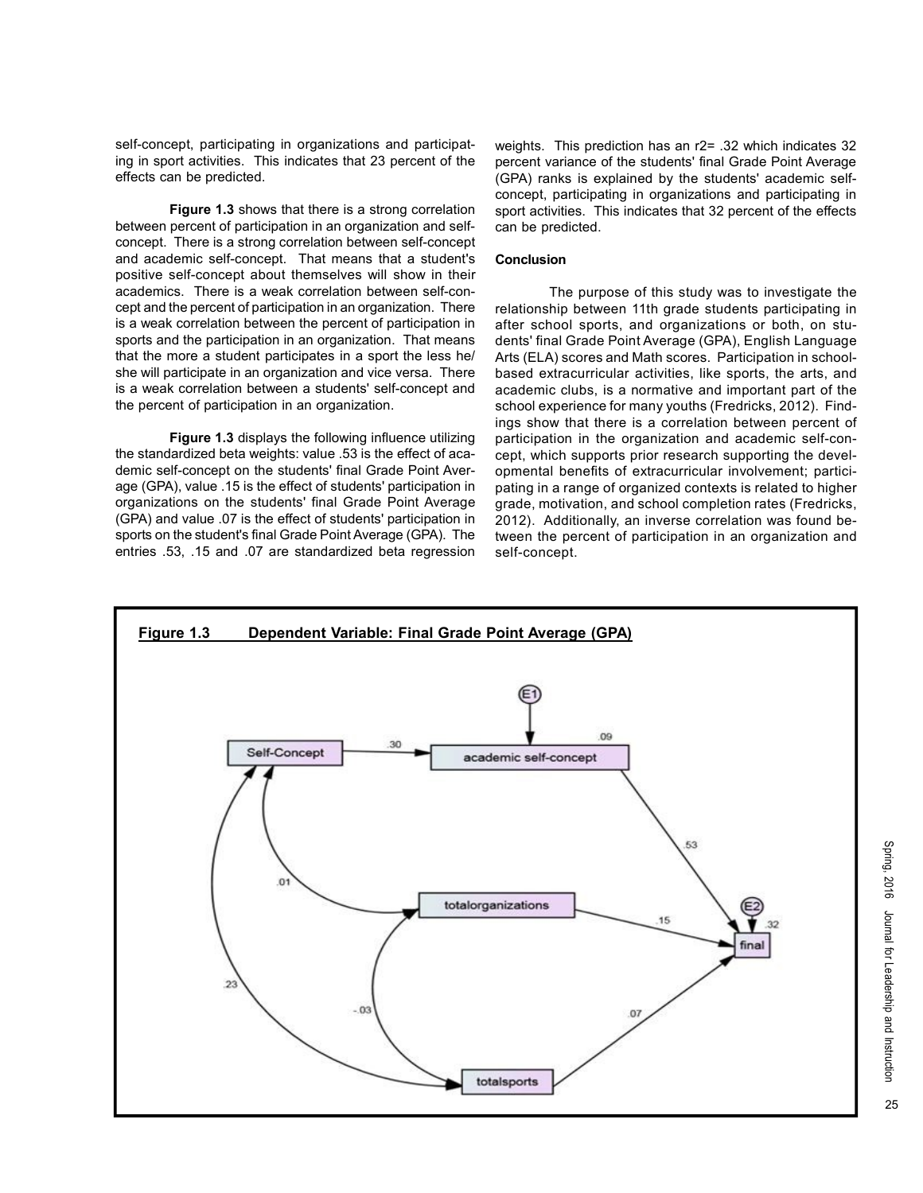self-concept, participating in organizations and participating in sport activities. This indicates that 23 percent of the effects can be predicted.

Figure 1.3 shows that there is a strong correlation between percent of participation in an organization and selfconcept. There is a strong correlation between self-concept and academic self-concept. That means that a student's positive self-concept about themselves will show in their academics. There is a weak correlation between self-concept and the percent of participation in an organization. There is a weak correlation between the percent of participation in sports and the participation in an organization. That means that the more a student participates in a sport the less he/ she will participate in an organization and vice versa. There is a weak correlation between a students' self-concept and the percent of participation in an organization.

Figure 1.3 displays the following influence utilizing the standardized beta weights: value .53 is the effect of academic self-concept on the students' final Grade Point Average (GPA), value .15 is the effect of students' participation in organizations on the students' final Grade Point Average (GPA) and value .07 is the effect of students' participation in sports on the student's final Grade Point Average (GPA). The entries .53, .15 and .07 are standardized beta regression weights. This prediction has an r2= .32 which indicates 32 percent variance of the students' final Grade Point Average (GPA) ranks is explained by the students' academic selfconcept, participating in organizations and participating in sport activities. This indicates that 32 percent of the effects can be predicted.

#### Conclusion

The purpose of this study was to investigate the relationship between 11th grade students participating in after school sports, and organizations or both, on students' final Grade Point Average (GPA), English Language Arts (ELA) scores and Math scores. Participation in schoolbased extracurricular activities, like sports, the arts, and academic clubs, is a normative and important part of the school experience for many youths (Fredricks, 2012). Findings show that there is a correlation between percent of participation in the organization and academic self-concept, which supports prior research supporting the developmental benefits of extracurricular involvement; participating in a range of organized contexts is related to higher grade, motivation, and school completion rates (Fredricks, 2012). Additionally, an inverse correlation was found between the percent of participation in an organization and self-concept.